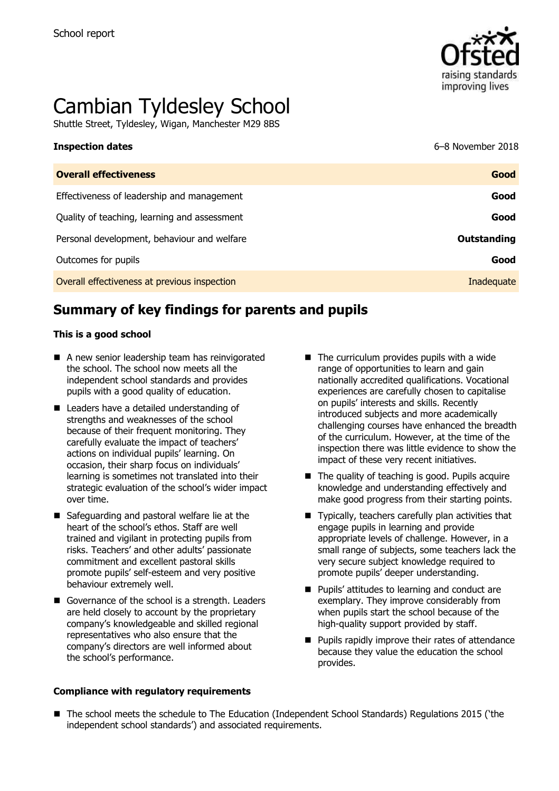

# Cambian Tyldesley School

Shuttle Street, Tyldesley, Wigan, Manchester M29 8BS

| <b>Inspection dates</b>                      | 6-8 November 2018  |
|----------------------------------------------|--------------------|
| <b>Overall effectiveness</b>                 | Good               |
| Effectiveness of leadership and management   | Good               |
| Quality of teaching, learning and assessment | Good               |
| Personal development, behaviour and welfare  | <b>Outstanding</b> |
| Outcomes for pupils                          | Good               |
| Overall effectiveness at previous inspection | Inadequate         |

# **Summary of key findings for parents and pupils**

#### **This is a good school**

- A new senior leadership team has reinvigorated the school. The school now meets all the independent school standards and provides pupils with a good quality of education.
- Leaders have a detailed understanding of strengths and weaknesses of the school because of their frequent monitoring. They carefully evaluate the impact of teachers' actions on individual pupils' learning. On occasion, their sharp focus on individuals' learning is sometimes not translated into their strategic evaluation of the school's wider impact over time.
- Safeguarding and pastoral welfare lie at the heart of the school's ethos. Staff are well trained and vigilant in protecting pupils from risks. Teachers' and other adults' passionate commitment and excellent pastoral skills promote pupils' self-esteem and very positive behaviour extremely well.
- Governance of the school is a strength. Leaders are held closely to account by the proprietary company's knowledgeable and skilled regional representatives who also ensure that the company's directors are well informed about the school's performance.

#### **Compliance with regulatory requirements**

- $\blacksquare$  The curriculum provides pupils with a wide range of opportunities to learn and gain nationally accredited qualifications. Vocational experiences are carefully chosen to capitalise on pupils' interests and skills. Recently introduced subjects and more academically challenging courses have enhanced the breadth of the curriculum. However, at the time of the inspection there was little evidence to show the impact of these very recent initiatives.
- $\blacksquare$  The quality of teaching is good. Pupils acquire knowledge and understanding effectively and make good progress from their starting points.
- Typically, teachers carefully plan activities that engage pupils in learning and provide appropriate levels of challenge. However, in a small range of subjects, some teachers lack the very secure subject knowledge required to promote pupils' deeper understanding.
- **Pupils' attitudes to learning and conduct are** exemplary. They improve considerably from when pupils start the school because of the high-quality support provided by staff.
- **Pupils rapidly improve their rates of attendance** because they value the education the school provides.
- The school meets the schedule to The Education (Independent School Standards) Regulations 2015 ('the independent school standards') and associated requirements.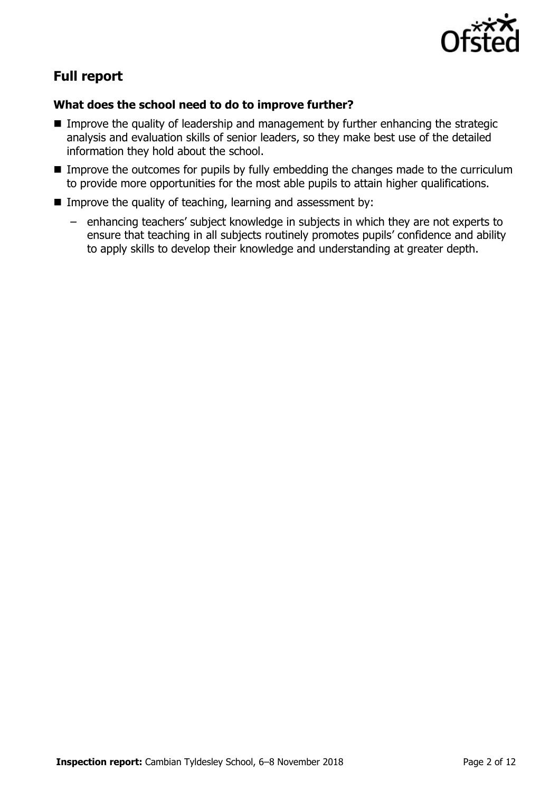

# **Full report**

## **What does the school need to do to improve further?**

- **IMPROVE the quality of leadership and management by further enhancing the strategic** analysis and evaluation skills of senior leaders, so they make best use of the detailed information they hold about the school.
- **IMP** Improve the outcomes for pupils by fully embedding the changes made to the curriculum to provide more opportunities for the most able pupils to attain higher qualifications.
- Improve the quality of teaching, learning and assessment by:
	- enhancing teachers' subject knowledge in subjects in which they are not experts to ensure that teaching in all subjects routinely promotes pupils' confidence and ability to apply skills to develop their knowledge and understanding at greater depth.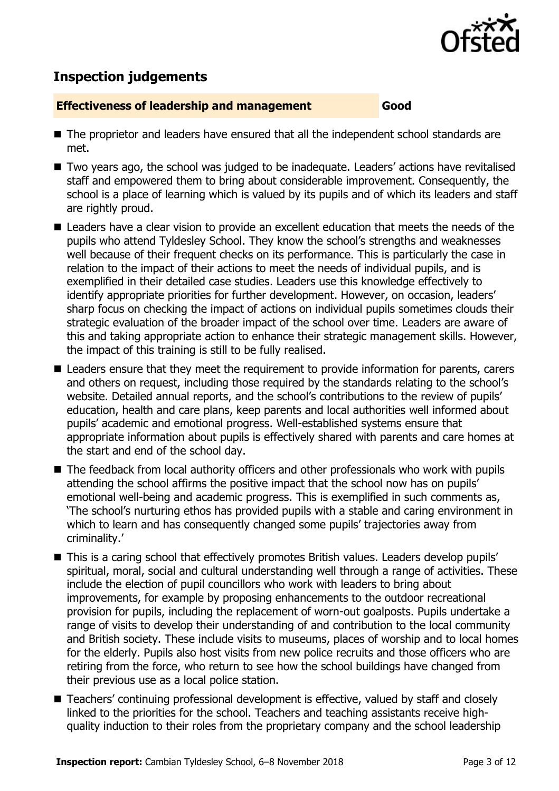

## **Inspection judgements**

#### **Effectiveness of leadership and management Good**

- The proprietor and leaders have ensured that all the independent school standards are met.
- Two years ago, the school was judged to be inadequate. Leaders' actions have revitalised staff and empowered them to bring about considerable improvement. Consequently, the school is a place of learning which is valued by its pupils and of which its leaders and staff are rightly proud.
- Leaders have a clear vision to provide an excellent education that meets the needs of the pupils who attend Tyldesley School. They know the school's strengths and weaknesses well because of their frequent checks on its performance. This is particularly the case in relation to the impact of their actions to meet the needs of individual pupils, and is exemplified in their detailed case studies. Leaders use this knowledge effectively to identify appropriate priorities for further development. However, on occasion, leaders' sharp focus on checking the impact of actions on individual pupils sometimes clouds their strategic evaluation of the broader impact of the school over time. Leaders are aware of this and taking appropriate action to enhance their strategic management skills. However, the impact of this training is still to be fully realised.
- Leaders ensure that they meet the requirement to provide information for parents, carers and others on request, including those required by the standards relating to the school's website. Detailed annual reports, and the school's contributions to the review of pupils' education, health and care plans, keep parents and local authorities well informed about pupils' academic and emotional progress. Well-established systems ensure that appropriate information about pupils is effectively shared with parents and care homes at the start and end of the school day.
- The feedback from local authority officers and other professionals who work with pupils attending the school affirms the positive impact that the school now has on pupils' emotional well-being and academic progress. This is exemplified in such comments as, 'The school's nurturing ethos has provided pupils with a stable and caring environment in which to learn and has consequently changed some pupils' trajectories away from criminality.'
- This is a caring school that effectively promotes British values. Leaders develop pupils' spiritual, moral, social and cultural understanding well through a range of activities. These include the election of pupil councillors who work with leaders to bring about improvements, for example by proposing enhancements to the outdoor recreational provision for pupils, including the replacement of worn-out goalposts. Pupils undertake a range of visits to develop their understanding of and contribution to the local community and British society. These include visits to museums, places of worship and to local homes for the elderly. Pupils also host visits from new police recruits and those officers who are retiring from the force, who return to see how the school buildings have changed from their previous use as a local police station.
- Teachers' continuing professional development is effective, valued by staff and closely linked to the priorities for the school. Teachers and teaching assistants receive highquality induction to their roles from the proprietary company and the school leadership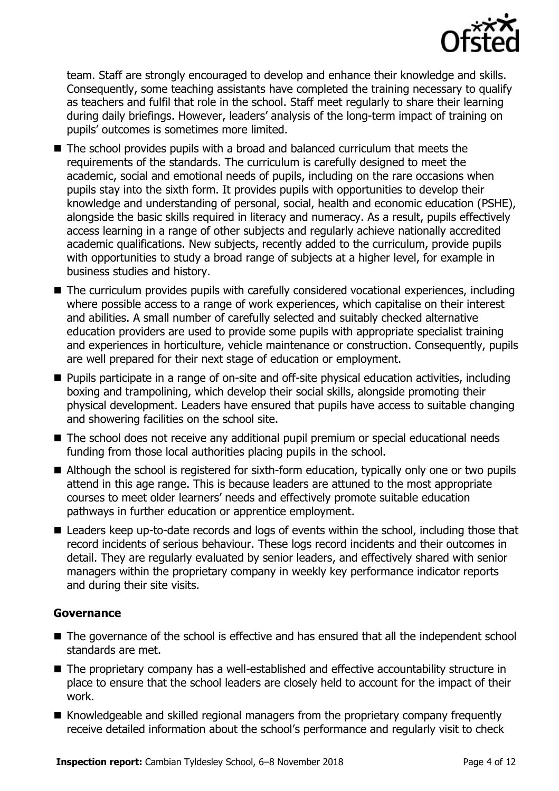

team. Staff are strongly encouraged to develop and enhance their knowledge and skills. Consequently, some teaching assistants have completed the training necessary to qualify as teachers and fulfil that role in the school. Staff meet regularly to share their learning during daily briefings. However, leaders' analysis of the long-term impact of training on pupils' outcomes is sometimes more limited.

- The school provides pupils with a broad and balanced curriculum that meets the requirements of the standards. The curriculum is carefully designed to meet the academic, social and emotional needs of pupils, including on the rare occasions when pupils stay into the sixth form. It provides pupils with opportunities to develop their knowledge and understanding of personal, social, health and economic education (PSHE), alongside the basic skills required in literacy and numeracy. As a result, pupils effectively access learning in a range of other subjects and regularly achieve nationally accredited academic qualifications. New subjects, recently added to the curriculum, provide pupils with opportunities to study a broad range of subjects at a higher level, for example in business studies and history.
- The curriculum provides pupils with carefully considered vocational experiences, including where possible access to a range of work experiences, which capitalise on their interest and abilities. A small number of carefully selected and suitably checked alternative education providers are used to provide some pupils with appropriate specialist training and experiences in horticulture, vehicle maintenance or construction. Consequently, pupils are well prepared for their next stage of education or employment.
- **Pupils participate in a range of on-site and off-site physical education activities, including** boxing and trampolining, which develop their social skills, alongside promoting their physical development. Leaders have ensured that pupils have access to suitable changing and showering facilities on the school site.
- The school does not receive any additional pupil premium or special educational needs funding from those local authorities placing pupils in the school.
- Although the school is registered for sixth-form education, typically only one or two pupils attend in this age range. This is because leaders are attuned to the most appropriate courses to meet older learners' needs and effectively promote suitable education pathways in further education or apprentice employment.
- Leaders keep up-to-date records and logs of events within the school, including those that record incidents of serious behaviour. These logs record incidents and their outcomes in detail. They are regularly evaluated by senior leaders, and effectively shared with senior managers within the proprietary company in weekly key performance indicator reports and during their site visits.

#### **Governance**

- The governance of the school is effective and has ensured that all the independent school standards are met.
- The proprietary company has a well-established and effective accountability structure in place to ensure that the school leaders are closely held to account for the impact of their work.
- Knowledgeable and skilled regional managers from the proprietary company frequently receive detailed information about the school's performance and regularly visit to check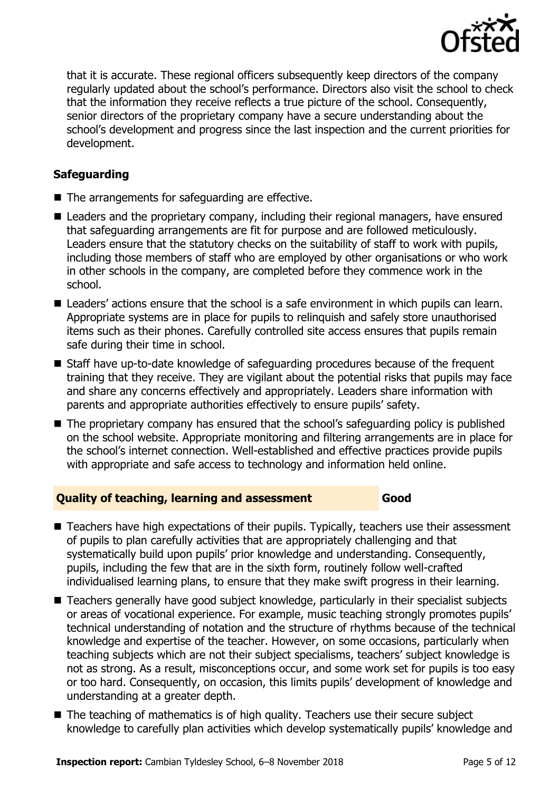

that it is accurate. These regional officers subsequently keep directors of the company regularly updated about the school's performance. Directors also visit the school to check that the information they receive reflects a true picture of the school. Consequently, senior directors of the proprietary company have a secure understanding about the school's development and progress since the last inspection and the current priorities for development.

## **Safeguarding**

- The arrangements for safeguarding are effective.
- Leaders and the proprietary company, including their regional managers, have ensured that safeguarding arrangements are fit for purpose and are followed meticulously. Leaders ensure that the statutory checks on the suitability of staff to work with pupils, including those members of staff who are employed by other organisations or who work in other schools in the company, are completed before they commence work in the school.
- Leaders' actions ensure that the school is a safe environment in which pupils can learn. Appropriate systems are in place for pupils to relinquish and safely store unauthorised items such as their phones. Carefully controlled site access ensures that pupils remain safe during their time in school.
- Staff have up-to-date knowledge of safeguarding procedures because of the frequent training that they receive. They are vigilant about the potential risks that pupils may face and share any concerns effectively and appropriately. Leaders share information with parents and appropriate authorities effectively to ensure pupils' safety.
- The proprietary company has ensured that the school's safeguarding policy is published on the school website. Appropriate monitoring and filtering arrangements are in place for the school's internet connection. Well-established and effective practices provide pupils with appropriate and safe access to technology and information held online.

#### **Quality of teaching, learning and assessment Good**

- Teachers have high expectations of their pupils. Typically, teachers use their assessment of pupils to plan carefully activities that are appropriately challenging and that systematically build upon pupils' prior knowledge and understanding. Consequently, pupils, including the few that are in the sixth form, routinely follow well-crafted individualised learning plans, to ensure that they make swift progress in their learning.
- Teachers generally have good subject knowledge, particularly in their specialist subjects or areas of vocational experience. For example, music teaching strongly promotes pupils' technical understanding of notation and the structure of rhythms because of the technical knowledge and expertise of the teacher. However, on some occasions, particularly when teaching subjects which are not their subject specialisms, teachers' subject knowledge is not as strong. As a result, misconceptions occur, and some work set for pupils is too easy or too hard. Consequently, on occasion, this limits pupils' development of knowledge and understanding at a greater depth.
- The teaching of mathematics is of high quality. Teachers use their secure subject knowledge to carefully plan activities which develop systematically pupils' knowledge and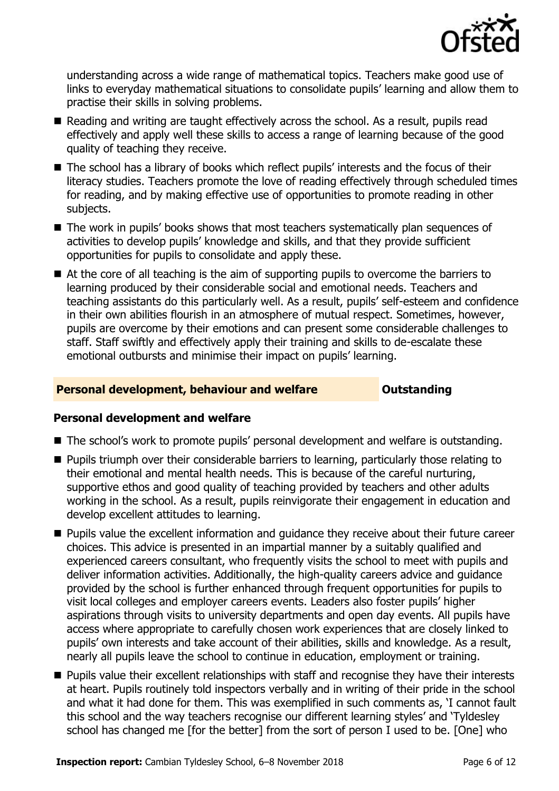

understanding across a wide range of mathematical topics. Teachers make good use of links to everyday mathematical situations to consolidate pupils' learning and allow them to practise their skills in solving problems.

- Reading and writing are taught effectively across the school. As a result, pupils read effectively and apply well these skills to access a range of learning because of the good quality of teaching they receive.
- The school has a library of books which reflect pupils' interests and the focus of their literacy studies. Teachers promote the love of reading effectively through scheduled times for reading, and by making effective use of opportunities to promote reading in other subjects.
- The work in pupils' books shows that most teachers systematically plan sequences of activities to develop pupils' knowledge and skills, and that they provide sufficient opportunities for pupils to consolidate and apply these.
- At the core of all teaching is the aim of supporting pupils to overcome the barriers to learning produced by their considerable social and emotional needs. Teachers and teaching assistants do this particularly well. As a result, pupils' self-esteem and confidence in their own abilities flourish in an atmosphere of mutual respect. Sometimes, however, pupils are overcome by their emotions and can present some considerable challenges to staff. Staff swiftly and effectively apply their training and skills to de-escalate these emotional outbursts and minimise their impact on pupils' learning.

#### **Personal development, behaviour and welfare <b>COUNG COUTS** Outstanding

#### **Personal development and welfare**

- The school's work to promote pupils' personal development and welfare is outstanding.
- **Pupils triumph over their considerable barriers to learning, particularly those relating to** their emotional and mental health needs. This is because of the careful nurturing, supportive ethos and good quality of teaching provided by teachers and other adults working in the school. As a result, pupils reinvigorate their engagement in education and develop excellent attitudes to learning.
- **Pupils value the excellent information and quidance they receive about their future career** choices. This advice is presented in an impartial manner by a suitably qualified and experienced careers consultant, who frequently visits the school to meet with pupils and deliver information activities. Additionally, the high-quality careers advice and guidance provided by the school is further enhanced through frequent opportunities for pupils to visit local colleges and employer careers events. Leaders also foster pupils' higher aspirations through visits to university departments and open day events. All pupils have access where appropriate to carefully chosen work experiences that are closely linked to pupils' own interests and take account of their abilities, skills and knowledge. As a result, nearly all pupils leave the school to continue in education, employment or training.
- **Pupils value their excellent relationships with staff and recognise they have their interests** at heart. Pupils routinely told inspectors verbally and in writing of their pride in the school and what it had done for them. This was exemplified in such comments as, 'I cannot fault this school and the way teachers recognise our different learning styles' and 'Tyldesley school has changed me [for the better] from the sort of person I used to be. [One] who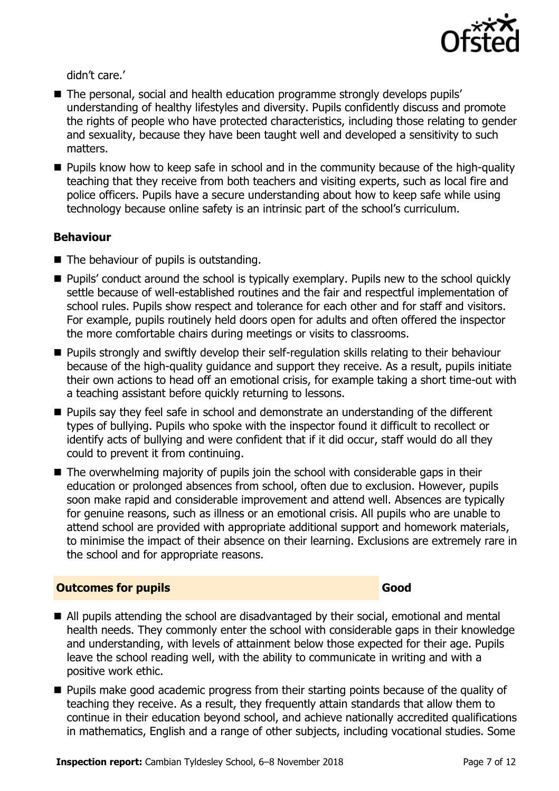

didn't care.'

- The personal, social and health education programme strongly develops pupils' understanding of healthy lifestyles and diversity. Pupils confidently discuss and promote the rights of people who have protected characteristics, including those relating to gender and sexuality, because they have been taught well and developed a sensitivity to such matters.
- **Pupils know how to keep safe in school and in the community because of the high-quality** teaching that they receive from both teachers and visiting experts, such as local fire and police officers. Pupils have a secure understanding about how to keep safe while using technology because online safety is an intrinsic part of the school's curriculum.

#### **Behaviour**

- $\blacksquare$  The behaviour of pupils is outstanding.
- Pupils' conduct around the school is typically exemplary. Pupils new to the school quickly settle because of well-established routines and the fair and respectful implementation of school rules. Pupils show respect and tolerance for each other and for staff and visitors. For example, pupils routinely held doors open for adults and often offered the inspector the more comfortable chairs during meetings or visits to classrooms.
- **Pupils strongly and swiftly develop their self-regulation skills relating to their behaviour** because of the high-quality guidance and support they receive. As a result, pupils initiate their own actions to head off an emotional crisis, for example taking a short time-out with a teaching assistant before quickly returning to lessons.
- **Pupils say they feel safe in school and demonstrate an understanding of the different** types of bullying. Pupils who spoke with the inspector found it difficult to recollect or identify acts of bullying and were confident that if it did occur, staff would do all they could to prevent it from continuing.
- The overwhelming majority of pupils join the school with considerable gaps in their education or prolonged absences from school, often due to exclusion. However, pupils soon make rapid and considerable improvement and attend well. Absences are typically for genuine reasons, such as illness or an emotional crisis. All pupils who are unable to attend school are provided with appropriate additional support and homework materials, to minimise the impact of their absence on their learning. Exclusions are extremely rare in the school and for appropriate reasons.

#### **Outcomes for pupils Good**

- All pupils attending the school are disadvantaged by their social, emotional and mental health needs. They commonly enter the school with considerable gaps in their knowledge and understanding, with levels of attainment below those expected for their age. Pupils leave the school reading well, with the ability to communicate in writing and with a positive work ethic.
- **Pupils make good academic progress from their starting points because of the quality of** teaching they receive. As a result, they frequently attain standards that allow them to continue in their education beyond school, and achieve nationally accredited qualifications in mathematics, English and a range of other subjects, including vocational studies. Some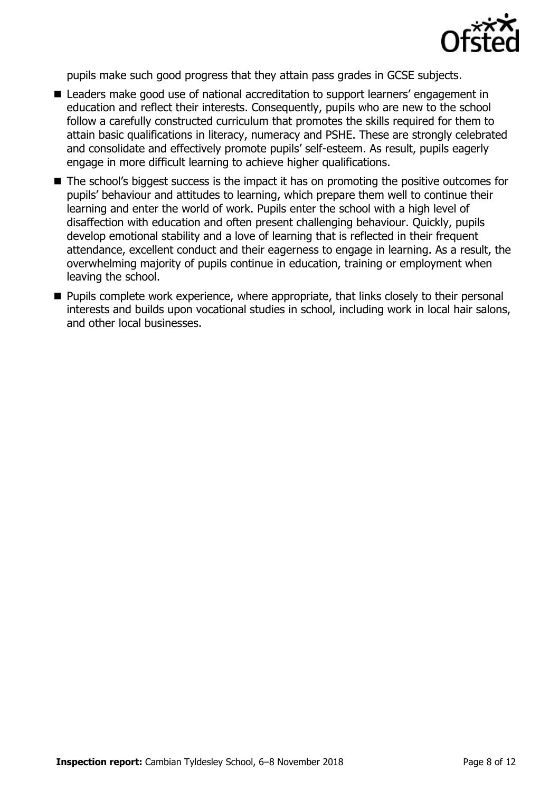

pupils make such good progress that they attain pass grades in GCSE subjects.

- Leaders make good use of national accreditation to support learners' engagement in education and reflect their interests. Consequently, pupils who are new to the school follow a carefully constructed curriculum that promotes the skills required for them to attain basic qualifications in literacy, numeracy and PSHE. These are strongly celebrated and consolidate and effectively promote pupils' self-esteem. As result, pupils eagerly engage in more difficult learning to achieve higher qualifications.
- The school's biggest success is the impact it has on promoting the positive outcomes for pupils' behaviour and attitudes to learning, which prepare them well to continue their learning and enter the world of work. Pupils enter the school with a high level of disaffection with education and often present challenging behaviour. Quickly, pupils develop emotional stability and a love of learning that is reflected in their frequent attendance, excellent conduct and their eagerness to engage in learning. As a result, the overwhelming majority of pupils continue in education, training or employment when leaving the school.
- **Pupils complete work experience, where appropriate, that links closely to their personal** interests and builds upon vocational studies in school, including work in local hair salons, and other local businesses.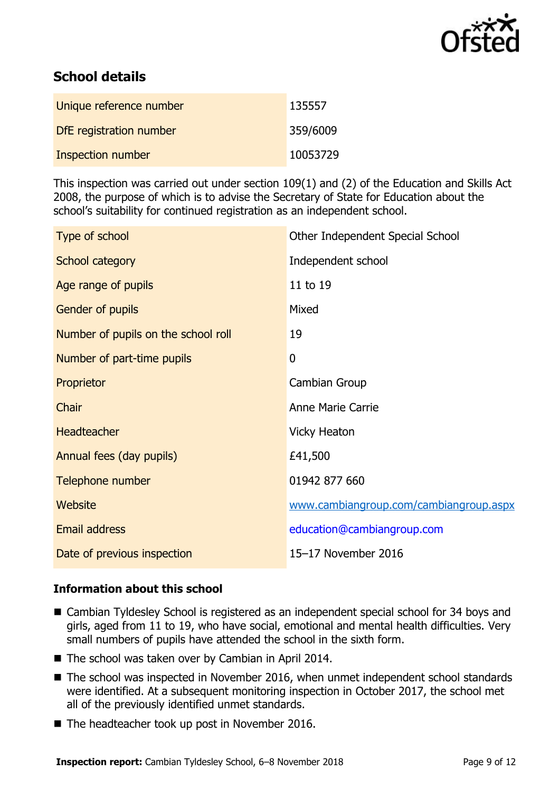

# **School details**

| Unique reference number | 135557   |
|-------------------------|----------|
| DfE registration number | 359/6009 |
| Inspection number       | 10053729 |

This inspection was carried out under section 109(1) and (2) of the Education and Skills Act 2008, the purpose of which is to advise the Secretary of State for Education about the school's suitability for continued registration as an independent school.

| Type of school                      | Other Independent Special School       |
|-------------------------------------|----------------------------------------|
| School category                     | Independent school                     |
| Age range of pupils                 | 11 to 19                               |
| Gender of pupils                    | Mixed                                  |
| Number of pupils on the school roll | 19                                     |
| Number of part-time pupils          | $\overline{0}$                         |
| Proprietor                          | Cambian Group                          |
| Chair                               | <b>Anne Marie Carrie</b>               |
| <b>Headteacher</b>                  | <b>Vicky Heaton</b>                    |
| Annual fees (day pupils)            | £41,500                                |
| Telephone number                    | 01942 877 660                          |
| Website                             | www.cambiangroup.com/cambiangroup.aspx |
| Email address                       | education@cambiangroup.com             |
| Date of previous inspection         | 15-17 November 2016                    |

## **Information about this school**

- Cambian Tyldesley School is registered as an independent special school for 34 boys and girls, aged from 11 to 19, who have social, emotional and mental health difficulties. Very small numbers of pupils have attended the school in the sixth form.
- The school was taken over by Cambian in April 2014.
- The school was inspected in November 2016, when unmet independent school standards were identified. At a subsequent monitoring inspection in October 2017, the school met all of the previously identified unmet standards.
- The headteacher took up post in November 2016.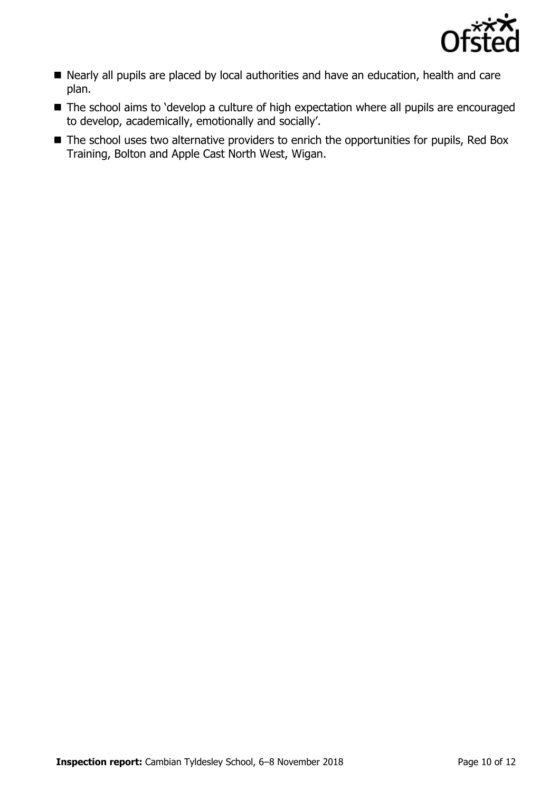

- Nearly all pupils are placed by local authorities and have an education, health and care plan.
- The school aims to 'develop a culture of high expectation where all pupils are encouraged to develop, academically, emotionally and socially'.
- The school uses two alternative providers to enrich the opportunities for pupils, Red Box Training, Bolton and Apple Cast North West, Wigan.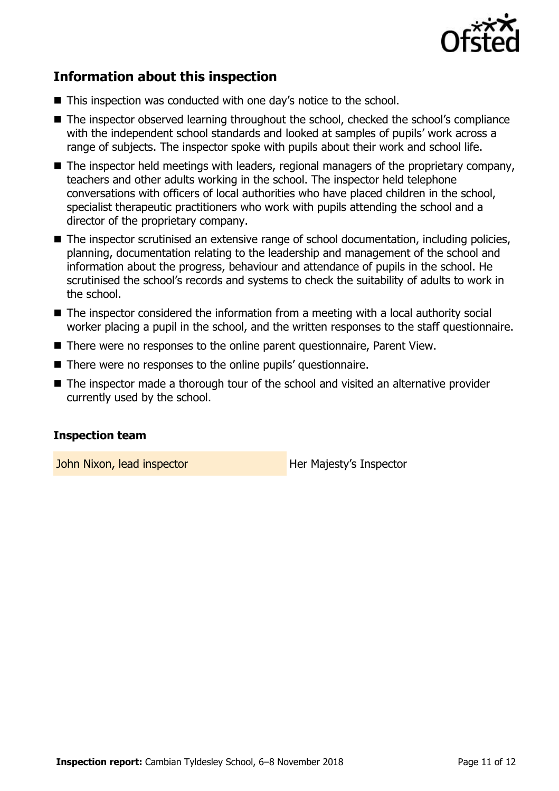

## **Information about this inspection**

- This inspection was conducted with one day's notice to the school.
- The inspector observed learning throughout the school, checked the school's compliance with the independent school standards and looked at samples of pupils' work across a range of subjects. The inspector spoke with pupils about their work and school life.
- The inspector held meetings with leaders, regional managers of the proprietary company, teachers and other adults working in the school. The inspector held telephone conversations with officers of local authorities who have placed children in the school, specialist therapeutic practitioners who work with pupils attending the school and a director of the proprietary company.
- The inspector scrutinised an extensive range of school documentation, including policies, planning, documentation relating to the leadership and management of the school and information about the progress, behaviour and attendance of pupils in the school. He scrutinised the school's records and systems to check the suitability of adults to work in the school.
- The inspector considered the information from a meeting with a local authority social worker placing a pupil in the school, and the written responses to the staff questionnaire.
- There were no responses to the online parent questionnaire, Parent View.
- There were no responses to the online pupils' questionnaire.
- The inspector made a thorough tour of the school and visited an alternative provider currently used by the school.

#### **Inspection team**

John Nixon, lead inspector **Her Majesty's Inspector**